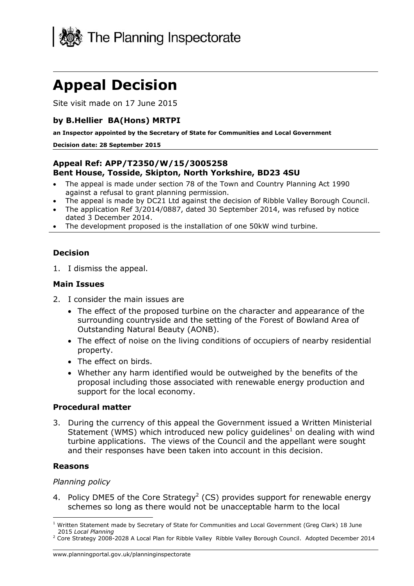

# **Appeal Decision**

Site visit made on 17 June 2015

## **by B.Hellier BA(Hons) MRTPI**

**an Inspector appointed by the Secretary of State for Communities and Local Government**

#### **Decision date: 28 September 2015**

## **Appeal Ref: APP/T2350/W/15/3005258 Bent House, Tosside, Skipton, North Yorkshire, BD23 4SU**

- The appeal is made under section 78 of the Town and Country Planning Act 1990 against a refusal to grant planning permission.
- The appeal is made by DC21 Ltd against the decision of Ribble Valley Borough Council.
- The application Ref 3/2014/0887, dated 30 September 2014, was refused by notice dated 3 December 2014.
- The development proposed is the installation of one 50kW wind turbine.

## **Decision**

1. I dismiss the appeal.

#### **Main Issues**

- 2. I consider the main issues are
	- The effect of the proposed turbine on the character and appearance of the surrounding countryside and the setting of the Forest of Bowland Area of Outstanding Natural Beauty (AONB).
	- The effect of noise on the living conditions of occupiers of nearby residential property.
	- The effect on birds.
	- Whether any harm identified would be outweighed by the benefits of the proposal including those associated with renewable energy production and support for the local economy.

#### **Procedural matter**

3. During the currency of this appeal the Government issued a Written Ministerial Statement (WMS) which introduced new policy guidelines<sup>1</sup> on dealing with wind turbine applications. The views of the Council and the appellant were sought and their responses have been taken into account in this decision.

#### **Reasons**

j

#### *Planning policy*

4. Policy DME5 of the Core Strategy<sup>2</sup> (CS) provides support for renewable energy schemes so long as there would not be unacceptable harm to the local

<sup>&</sup>lt;sup>1</sup> Written Statement made by Secretary of State for Communities and Local Government (Greg Clark) 18 June 2015 *Local Planning*

<sup>&</sup>lt;sup>2</sup> Core Strategy 2008-2028 A Local Plan for Ribble Valley Ribble Valley Borough Council. Adopted December 2014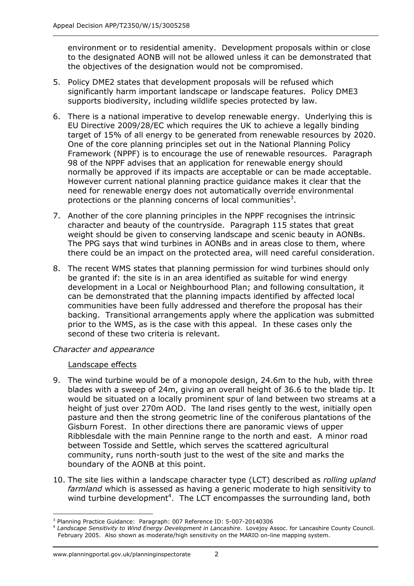environment or to residential amenity. Development proposals within or close to the designated AONB will not be allowed unless it can be demonstrated that the objectives of the designation would not be compromised.

- 5. Policy DME2 states that development proposals will be refused which significantly harm important landscape or landscape features. Policy DME3 supports biodiversity, including wildlife species protected by law.
- 6. There is a national imperative to develop renewable energy. Underlying this is EU Directive 2009/28/EC which requires the UK to achieve a legally binding target of 15% of all energy to be generated from renewable resources by 2020. One of the core planning principles set out in the National Planning Policy Framework (NPPF) is to encourage the use of renewable resources. Paragraph 98 of the NPPF advises that an application for renewable energy should normally be approved if its impacts are acceptable or can be made acceptable. However current national planning practice guidance makes it clear that the need for renewable energy does not automatically override environmental protections or the planning concerns of local communities<sup>3</sup>.
- 7. Another of the core planning principles in the NPPF recognises the intrinsic character and beauty of the countryside. Paragraph 115 states that great weight should be given to conserving landscape and scenic beauty in AONBs. The PPG says that wind turbines in AONBs and in areas close to them, where there could be an impact on the protected area, will need careful consideration.
- 8. The recent WMS states that planning permission for wind turbines should only be granted if: the site is in an area identified as suitable for wind energy development in a Local or Neighbourhood Plan; and following consultation, it can be demonstrated that the planning impacts identified by affected local communities have been fully addressed and therefore the proposal has their backing. Transitional arrangements apply where the application was submitted prior to the WMS, as is the case with this appeal. In these cases only the second of these two criteria is relevant.

## *Character and appearance*

## Landscape effects

- 9. The wind turbine would be of a monopole design, 24.6m to the hub, with three blades with a sweep of 24m, giving an overall height of 36.6 to the blade tip. It would be situated on a locally prominent spur of land between two streams at a height of just over 270m AOD. The land rises gently to the west, initially open pasture and then the strong geometric line of the coniferous plantations of the Gisburn Forest. In other directions there are panoramic views of upper Ribblesdale with the main Pennine range to the north and east. A minor road between Tosside and Settle, which serves the scattered agricultural community, runs north-south just to the west of the site and marks the boundary of the AONB at this point.
- 10. The site lies within a landscape character type (LCT) described as *rolling upland farmland* which is assessed as having a generic moderate to high sensitivity to wind turbine development<sup>4</sup>. The LCT encompasses the surrounding land, both

j <sup>3</sup> Planning Practice Guidance: Paragraph: 007 Reference ID: 5-007-20140306

<sup>4</sup> *Landscape Sensitivity to Wind Energy Development in Lancashire*. Lovejoy Assoc. for Lancashire County Council. February 2005. Also shown as moderate/high sensitivity on the MARIO on-line mapping system.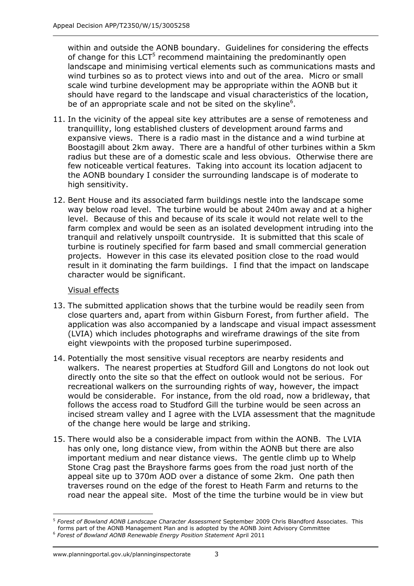within and outside the AONB boundary. Guidelines for considering the effects of change for this LCT<sup>5</sup> recommend maintaining the predominantly open landscape and minimising vertical elements such as communications masts and wind turbines so as to protect views into and out of the area. Micro or small scale wind turbine development may be appropriate within the AONB but it should have regard to the landscape and visual characteristics of the location, be of an appropriate scale and not be sited on the skyline<sup>6</sup>.

- 11. In the vicinity of the appeal site key attributes are a sense of remoteness and tranquillity, long established clusters of development around farms and expansive views. There is a radio mast in the distance and a wind turbine at Boostagill about 2km away. There are a handful of other turbines within a 5km radius but these are of a domestic scale and less obvious. Otherwise there are few noticeable vertical features. Taking into account its location adjacent to the AONB boundary I consider the surrounding landscape is of moderate to high sensitivity.
- 12. Bent House and its associated farm buildings nestle into the landscape some way below road level. The turbine would be about 240m away and at a higher level. Because of this and because of its scale it would not relate well to the farm complex and would be seen as an isolated development intruding into the tranquil and relatively unspoilt countryside. It is submitted that this scale of turbine is routinely specified for farm based and small commercial generation projects. However in this case its elevated position close to the road would result in it dominating the farm buildings. I find that the impact on landscape character would be significant.

## Visual effects

- 13. The submitted application shows that the turbine would be readily seen from close quarters and, apart from within Gisburn Forest, from further afield. The application was also accompanied by a landscape and visual impact assessment (LVIA) which includes photographs and wireframe drawings of the site from eight viewpoints with the proposed turbine superimposed.
- 14. Potentially the most sensitive visual receptors are nearby residents and walkers. The nearest properties at Studford Gill and Longtons do not look out directly onto the site so that the effect on outlook would not be serious. For recreational walkers on the surrounding rights of way, however, the impact would be considerable. For instance, from the old road, now a bridleway, that follows the access road to Studford Gill the turbine would be seen across an incised stream valley and I agree with the LVIA assessment that the magnitude of the change here would be large and striking.
- 15. There would also be a considerable impact from within the AONB. The LVIA has only one, long distance view, from within the AONB but there are also important medium and near distance views. The gentle climb up to Whelp Stone Crag past the Brayshore farms goes from the road just north of the appeal site up to 370m AOD over a distance of some 2km. One path then traverses round on the edge of the forest to Heath Farm and returns to the road near the appeal site. Most of the time the turbine would be in view but

j

<sup>5</sup> *Forest of Bowland AONB Landscape Character Assessment* September 2009 Chris Blandford Associates. This forms part of the AONB Management Plan and is adopted by the AONB Joint Advisory Committee

<sup>6</sup> *Forest of Bowland AONB Renewable Energy Position Statement* April 2011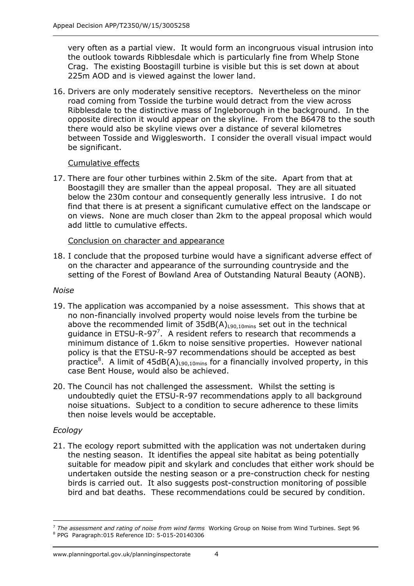very often as a partial view. It would form an incongruous visual intrusion into the outlook towards Ribblesdale which is particularly fine from Whelp Stone Crag. The existing Boostagill turbine is visible but this is set down at about 225m AOD and is viewed against the lower land.

16. Drivers are only moderately sensitive receptors. Nevertheless on the minor road coming from Tosside the turbine would detract from the view across Ribblesdale to the distinctive mass of Ingleborough in the background. In the opposite direction it would appear on the skyline. From the B6478 to the south there would also be skyline views over a distance of several kilometres between Tosside and Wigglesworth. I consider the overall visual impact would be significant.

## Cumulative effects

17. There are four other turbines within 2.5km of the site. Apart from that at Boostagill they are smaller than the appeal proposal. They are all situated below the 230m contour and consequently generally less intrusive. I do not find that there is at present a significant cumulative effect on the landscape or on views. None are much closer than 2km to the appeal proposal which would add little to cumulative effects.

## Conclusion on character and appearance

18. I conclude that the proposed turbine would have a significant adverse effect of on the character and appearance of the surrounding countryside and the setting of the Forest of Bowland Area of Outstanding Natural Beauty (AONB).

## *Noise*

- 19. The application was accompanied by a noise assessment. This shows that at no non-financially involved property would noise levels from the turbine be above the recommended limit of  $35dB(A)_{190,10min}$  set out in the technical guidance in ETSU-R-97<sup>7</sup>. A resident refers to research that recommends a minimum distance of 1.6km to noise sensitive properties. However national policy is that the ETSU-R-97 recommendations should be accepted as best practice<sup>8</sup>. A limit of  $45dB(A)_{L90,10min}$  for a financially involved property, in this case Bent House, would also be achieved.
- 20. The Council has not challenged the assessment. Whilst the setting is undoubtedly quiet the ETSU-R-97 recommendations apply to all background noise situations. Subject to a condition to secure adherence to these limits then noise levels would be acceptable.

## *Ecology*

-

21. The ecology report submitted with the application was not undertaken during the nesting season. It identifies the appeal site habitat as being potentially suitable for meadow pipit and skylark and concludes that either work should be undertaken outside the nesting season or a pre-construction check for nesting birds is carried out. It also suggests post-construction monitoring of possible bird and bat deaths. These recommendations could be secured by condition.

<sup>7</sup> *The assessment and rating of noise from wind farms* Working Group on Noise from Wind Turbines. Sept 96 <sup>8</sup> PPG Paragraph:015 Reference ID: 5-015-20140306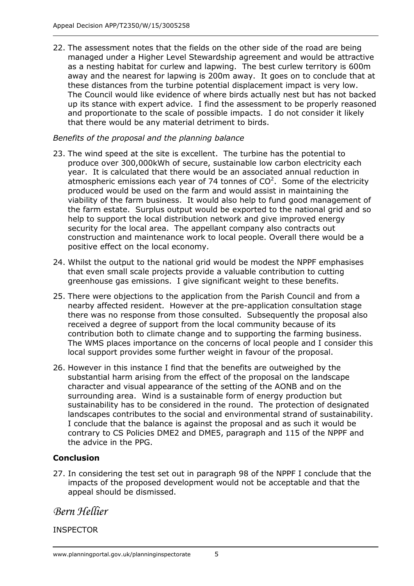22. The assessment notes that the fields on the other side of the road are being managed under a Higher Level Stewardship agreement and would be attractive as a nesting habitat for curlew and lapwing. The best curlew territory is 600m away and the nearest for lapwing is 200m away. It goes on to conclude that at these distances from the turbine potential displacement impact is very low. The Council would like evidence of where birds actually nest but has not backed up its stance with expert advice. I find the assessment to be properly reasoned and proportionate to the scale of possible impacts. I do not consider it likely that there would be any material detriment to birds.

## *Benefits of the proposal and the planning balance*

- 23. The wind speed at the site is excellent. The turbine has the potential to produce over 300,000kWh of secure, sustainable low carbon electricity each year. It is calculated that there would be an associated annual reduction in atmospheric emissions each year of 74 tonnes of  $CO<sup>2</sup>$ . Some of the electricity produced would be used on the farm and would assist in maintaining the viability of the farm business. It would also help to fund good management of the farm estate. Surplus output would be exported to the national grid and so help to support the local distribution network and give improved energy security for the local area. The appellant company also contracts out construction and maintenance work to local people. Overall there would be a positive effect on the local economy.
- 24. Whilst the output to the national grid would be modest the NPPF emphasises that even small scale projects provide a valuable contribution to cutting greenhouse gas emissions. I give significant weight to these benefits.
- 25. There were objections to the application from the Parish Council and from a nearby affected resident. However at the pre-application consultation stage there was no response from those consulted. Subsequently the proposal also received a degree of support from the local community because of its contribution both to climate change and to supporting the farming business. The WMS places importance on the concerns of local people and I consider this local support provides some further weight in favour of the proposal.
- 26. However in this instance I find that the benefits are outweighed by the substantial harm arising from the effect of the proposal on the landscape character and visual appearance of the setting of the AONB and on the surrounding area. Wind is a sustainable form of energy production but sustainability has to be considered in the round. The protection of designated landscapes contributes to the social and environmental strand of sustainability. I conclude that the balance is against the proposal and as such it would be contrary to CS Policies DME2 and DME5, paragraph and 115 of the NPPF and the advice in the PPG.

## **Conclusion**

27. In considering the test set out in paragraph 98 of the NPPF I conclude that the impacts of the proposed development would not be acceptable and that the appeal should be dismissed.

## *Bern Hellier*

## INSPECTOR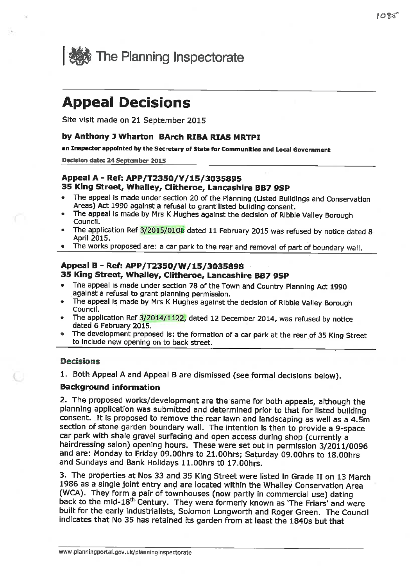

# **Appeal Decisions**

Site visit made on 21 September 2015

#### by Anthony J Wharton BArch RIBA RIAS MRTPI

an Inspector appointed by the Secretary of State for Communities and Local Government

Decision date: 24 September 2015

#### Appeal A - Ref: APP/T2350/Y/15/3035895 35 King Street, Whalley, Clitheroe, Lancashire BB7 9SP

- The appeal is made under section 20 of the Planning (Listed Buildings and Conservation Areas) Act 1990 against a refusal to grant listed building consent.
- The appeal is made by Mrs K Hughes against the decision of Ribble Valley Borough Council.
- The application Ref 3/2015/0108 dated 11 February 2015 was refused by notice dated 8 **April 2015.**
- The works proposed are: a car park to the rear and removal of part of boundary wall.

#### Appeal B - Ref: APP/T2350/W/15/3035898 35 King Street, Whalley, Clitheroe, Lancashire BB7 9SP

- The appeal is made under section 78 of the Town and Country Planning Act 1990 against a refusal to grant planning permission.
- The appeal is made by Mrs K Hughes against the decision of Ribble Valley Borough  $\bullet$ Council.
- The application Ref 3/2014/1122, dated 12 December 2014, was refused by notice dated 6 February 2015.
- The development proposed Is: the formation of a car park at the rear of 35 King Street to include new opening on to back street.

#### **Decisions**

1. Both Appeal A and Appeal B are dismissed (see formal decisions below).

#### **Background information**

2. The proposed works/development are the same for both appeals, although the planning application was submitted and determined prior to that for listed building consent. It is proposed to remove the rear lawn and landscaping as well as a 4.5m section of stone garden boundary wall. The intention is then to provide a 9-space car park with shale gravel surfacing and open access during shop (currently a hairdressing salon) opening hours. These were set out in permission 3/2011/0096 and are: Monday to Friday 09.00hrs to 21.00hrs; Saturday 09.00hrs to 18.00hrs and Sundays and Bank Holidays 11.00hrs t0 17.00hrs.

3. The properties at Nos 33 and 35 King Street were listed in Grade II on 13 March 1986 as a single joint entry and are located within the Whalley Conservation Area (WCA). They form a pair of townhouses (now partly in commercial use) dating back to the mid-18<sup>th</sup> Century. They were formerly known as 'The Friars' and were built for the early industrialists, Solomon Longworth and Roger Green. The Council indicates that No 35 has retained its garden from at least the 1840s but that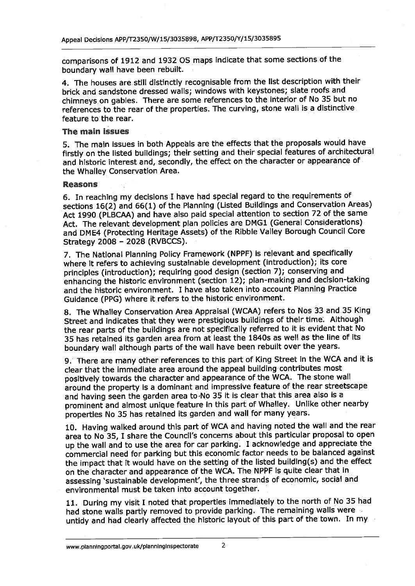comparisons of 1912 and 1932 OS maps indicate that some sections of the boundary wall have been rebuilt.

4. The houses are still distinctly recognisable from the list description with their brick and sandstone dressed walls; windows with keystones; slate roofs and chimneys on gables. There are some references to the interior of No 35 but no references to the rear of the properties. The curving, stone wall is a distinctive feature to the rear.

#### The main issues

5. The main issues in both Appeals are the effects that the proposals would have firstly on the listed buildings; their setting and their special features of architectural and historic interest and, secondly, the effect on the character or appearance of the Whalley Conservation Area.

#### **Reasons**

6. In reaching my decisions I have had special regard to the requirements of sections 16(2) and 66(1) of the Planning (Listed Buildings and Conservation Areas) Act 1990 (PLBCAA) and have also paid special attention to section 72 of the same Act. The relevant development plan policies are DMG1 (General Considerations) and DME4 (Protecting Heritage Assets) of the Ribble Valley Borough Council Core Strategy 2008 - 2028 (RVBCCS).

7. The National Planning Policy Framework (NPPF) is relevant and specifically where it refers to achieving sustainable development (introduction); its core principles (introduction); requiring good design (section 7); conserving and enhancing the historic environment (section 12); plan-making and decision-taking and the historic environment. I have also taken into account Planning Practice Guidance (PPG) where it refers to the historic environment.

8. The Whalley Conservation Area Appraisal (WCAA) refers to Nos 33 and 35 King Street and indicates that they were prestigious buildings of their time. Although the rear parts of the buildings are not specifically referred to it is evident that No 35 has retained its garden area from at least the 1840s as well as the line of its boundary wall although parts of the wall have been rebuilt over the years.

9. There are many other references to this part of King Street in the WCA and it is clear that the immediate area around the appeal building contributes most positively towards the character and appearance of the WCA. The stone wall around the property is a dominant and impressive feature of the rear streetscape and having seen the garden area to No 35 it is clear that this area also is a prominent and almost unique feature in this part of Whalley. Unlike other nearby properties No 35 has retained its garden and wall for many years.

10. Having walked around this part of WCA and having noted the wall and the rear area to No 35, I share the Council's concerns about this particular proposal to open up the wall and to use the area for car parking. I acknowledge and appreciate the commercial need for parking but this economic factor needs to be balanced against the impact that it would have on the setting of the listed building(s) and the effect on the character and appearance of the WCA. The NPPF is quite clear that in assessing 'sustainable development', the three strands of economic, social and environmental must be taken into account together.

11. During my visit I noted that properties immediately to the north of No 35 had had stone walls partly removed to provide parking. The remaining walls were untidy and had clearly affected the historic layout of this part of the town. In my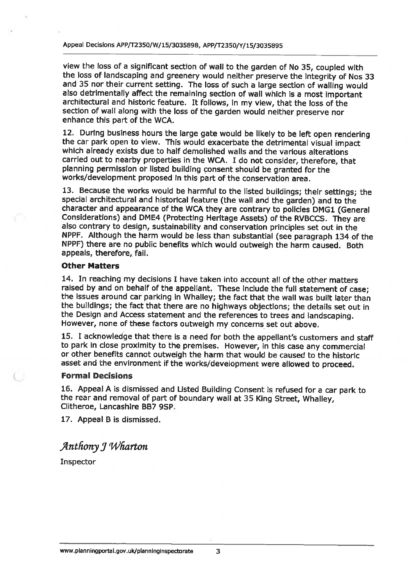view the loss of a significant section of wall to the garden of No 35, coupled with the loss of landscaping and greenery would neither preserve the integrity of Nos 33 and 35 nor their current setting. The loss of such a large section of walling would also detrimentally affect the remaining section of wall which is a most important architectural and historic feature. It follows, in my view, that the loss of the section of wall along with the loss of the garden would neither preserve nor enhance this part of the WCA.

12. During business hours the large gate would be likely to be left open rendering the car park open to view. This would exacerbate the detrimental visual impact which already exists due to half demolished walls and the various alterations carried out to nearby properties in the WCA. I do not consider, therefore, that planning permission or listed building consent should be granted for the works/development proposed in this part of the conservation area.

13. Because the works would be harmful to the listed buildings; their settings; the special architectural and historical feature (the wall and the garden) and to the character and appearance of the WCA they are contrary to policies DMG1 (General Considerations) and DME4 (Protecting Heritage Assets) of the RVBCCS. They are also contrary to design, sustainability and conservation principles set out in the NPPF. Although the harm would be less than substantial (see paragraph 134 of the NPPF) there are no public benefits which would outweigh the harm caused. Both appeals, therefore, fail.

#### **Other Matters**

14. In reaching my decisions I have taken into account all of the other matters raised by and on behalf of the appellant. These include the full statement of case; the issues around car parking in Whalley; the fact that the wall was built later than the buildings; the fact that there are no highways objections; the details set out in the Design and Access statement and the references to trees and landscaping. However, none of these factors outweigh my concerns set out above.

15. I acknowledge that there is a need for both the appellant's customers and staff to park in close proximity to the premises. However, in this case any commercial or other benefits cannot outweigh the harm that would be caused to the historic asset and the environment if the works/development were allowed to proceed.

#### **Formal Decisions**

16. Appeal A is dismissed and Listed Building Consent is refused for a car park to the rear and removal of part of boundary wall at 35 King Street, Whalley, Clitheroe, Lancashire BB7 9SP.

17. Appeal B is dismissed.

## Anthony J Wharton

Inspector